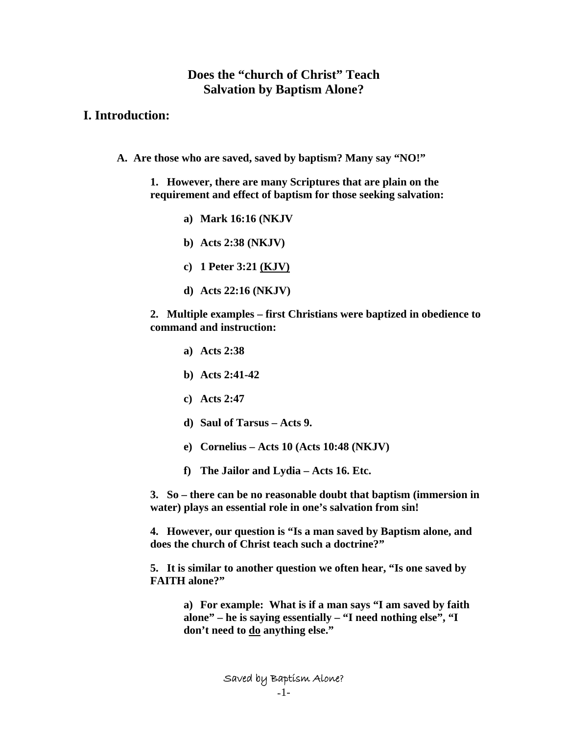# **Does the "church of Christ" Teach Salvation by Baptism Alone?**

## **I. Introduction:**

**A. Are those who are saved, saved by baptism? Many say "NO!"** 

**1. However, there are many Scriptures that are plain on the requirement and effect of baptism for those seeking salvation:** 

- **a) Mark 16:16 (NKJV**
- **b) Acts 2:38 (NKJV)**
- **c) 1 Peter 3:21 (KJV)**
- **d) Acts 22:16 (NKJV)**

**2. Multiple examples – first Christians were baptized in obedience to command and instruction:** 

- **a) Acts 2:38**
- **b) Acts 2:41-42**
- **c) Acts 2:47**
- **d) Saul of Tarsus Acts 9.**
- **e) Cornelius Acts 10 (Acts 10:48 (NKJV)**
- **f) The Jailor and Lydia Acts 16. Etc.**

**3. So – there can be no reasonable doubt that baptism (immersion in water) plays an essential role in one's salvation from sin!** 

**4. However, our question is "Is a man saved by Baptism alone, and does the church of Christ teach such a doctrine?"** 

**5. It is similar to another question we often hear, "Is one saved by FAITH alone?"** 

> **a) For example: What is if a man says "I am saved by faith alone" – he is saying essentially – "I need nothing else", "I don't need to do anything else."**

> > Saved by Baptism Alone?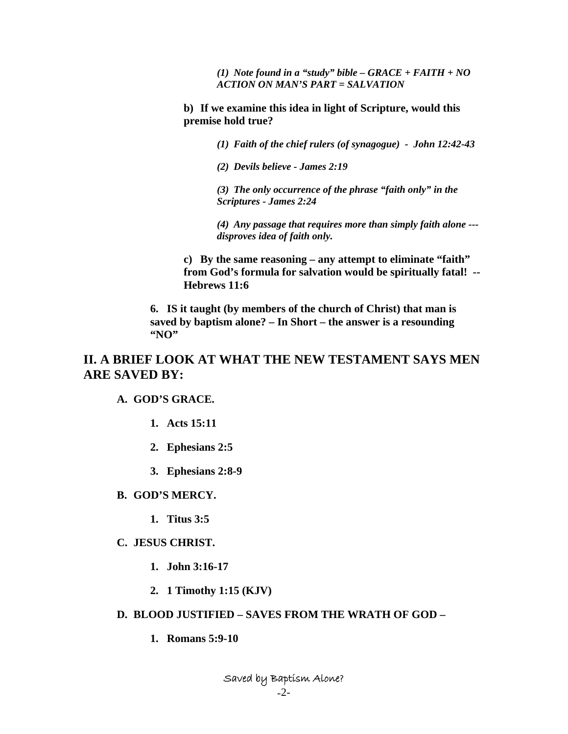*(1) Note found in a "study" bible – GRACE + FAITH + NO ACTION ON MAN'S PART = SALVATION* 

**b) If we examine this idea in light of Scripture, would this premise hold true?** 

*(1) Faith of the chief rulers (of synagogue) - John 12:42-43* 

*(2) Devils believe - James 2:19* 

*(3) The only occurrence of the phrase "faith only" in the Scriptures - James 2:24* 

*(4) Any passage that requires more than simply faith alone -- disproves idea of faith only.* 

**c) By the same reasoning – any attempt to eliminate "faith" from God's formula for salvation would be spiritually fatal! -- Hebrews 11:6** 

**6. IS it taught (by members of the church of Christ) that man is saved by baptism alone? – In Short – the answer is a resounding "NO"** 

# **II. A BRIEF LOOK AT WHAT THE NEW TESTAMENT SAYS MEN ARE SAVED BY:**

### **A. GOD'S GRACE.**

- **1. Acts 15:11**
- **2. Ephesians 2:5**
- **3. Ephesians 2:8-9**

#### **B. GOD'S MERCY.**

**1. Titus 3:5** 

### **C. JESUS CHRIST.**

- **1. John 3:16-17**
- **2. 1 Timothy 1:15 (KJV)**
- **D. BLOOD JUSTIFIED SAVES FROM THE WRATH OF GOD** 
	- **1. Romans 5:9-10**

Saved by Baptism Alone?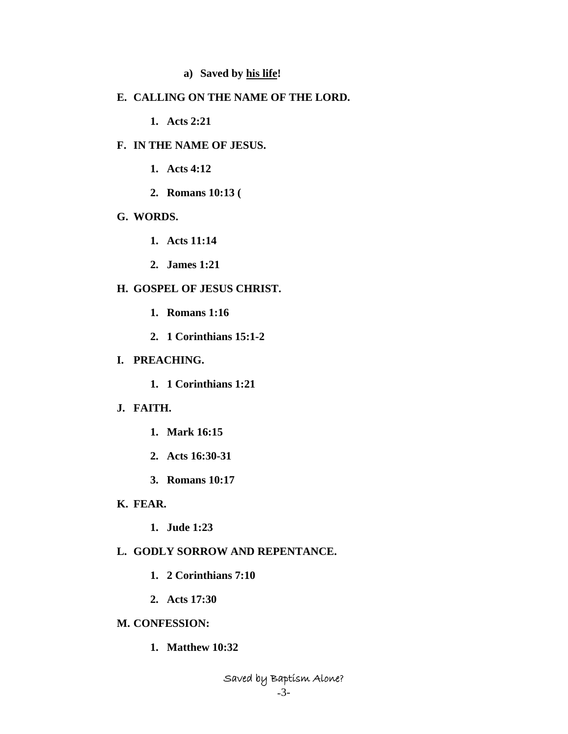## **a) Saved by his life!**

#### **E. CALLING ON THE NAME OF THE LORD.**

**1. Acts 2:21** 

#### **F. IN THE NAME OF JESUS.**

**1. Acts 4:12** 

**2. Romans 10:13 (** 

### **G. WORDS.**

- **1. Acts 11:14**
- **2. James 1:21**

### **H. GOSPEL OF JESUS CHRIST.**

- **1. Romans 1:16**
- **2. 1 Corinthians 15:1-2**

#### **I. PREACHING.**

**1. 1 Corinthians 1:21** 

#### **J. FAITH.**

- **1. Mark 16:15**
- **2. Acts 16:30-31**
- **3. Romans 10:17**

### **K. FEAR.**

**1. Jude 1:23** 

# **L. GODLY SORROW AND REPENTANCE.**

- **1. 2 Corinthians 7:10**
- **2. Acts 17:30**

## **M. CONFESSION:**

**1. Matthew 10:32** 

Saved by Baptism Alone?